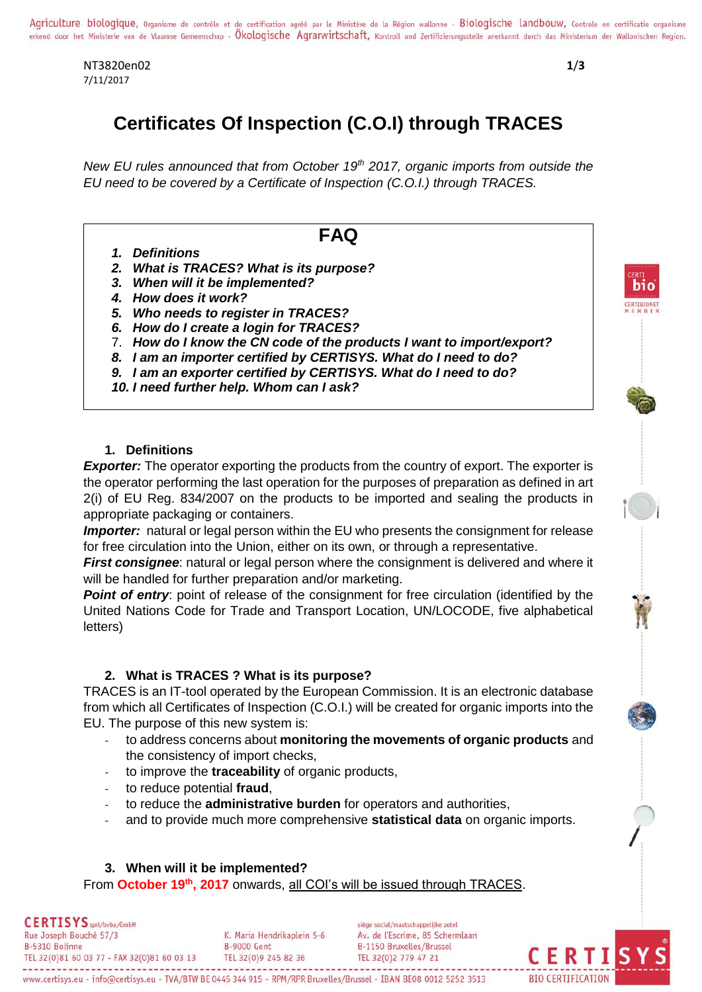NT3820en02 **1**/**3** 7/11/2017

**BIO CERTIFICATION** 

bio

# **Certificates Of Inspection (C.O.I) through TRACES**

*New EU rules announced that from October 19th 2017, organic imports from outside the EU need to be covered by a Certificate of Inspection (C.O.I.) through TRACES.* 

# **FAQ**

- *1. Definitions*
- *2. What is TRACES? What is its purpose?*
- *3. When will it be implemented?*
- *4. How does it work?*
- *5. Who needs to register in TRACES?*
- *6. How do I create a login for TRACES?*
- 7. *How do I know the CN code of the products I want to import/export?*
- *8. I am an importer certified by CERTISYS. What do I need to do?*
- *9. I am an exporter certified by CERTISYS. What do I need to do?*
- *10. I need further help. Whom can I ask?*

# **1. Definitions**

**Exporter:** The operator exporting the products from the country of export. The exporter is the operator performing the last operation for the purposes of preparation as defined in art 2(i) of EU Reg. 834/2007 on the products to be imported and sealing the products in appropriate packaging or containers.

**Importer:** natural or legal person within the EU who presents the consignment for release for free circulation into the Union, either on its own, or through a representative.

*First consignee*: natural or legal person where the consignment is delivered and where it will be handled for further preparation and/or marketing.

**Point of entry**: point of release of the consignment for free circulation (identified by the United Nations Code for Trade and Transport Location, UN/LOCODE, five alphabetical letters)

# **2. What is TRACES ? What is its purpose?**

TRACES is an IT-tool operated by the European Commission. It is an electronic database from which all Certificates of Inspection (C.O.I.) will be created for organic imports into the EU. The purpose of this new system is:

- to address concerns about **monitoring the movements of organic products** and the consistency of import checks,
- to improve the **traceability** of organic products,
- to reduce potential **fraud**,
- to reduce the **administrative burden** for operators and authorities,
- and to provide much more comprehensive **statistical data** on organic imports.

# **3. When will it be implemented?**

From **October 19th, 2017** onwards, all COI's will be issued through TRACES.

**CERTISYS** sprt/bvba/GmbH siège social/maatschappelijke zetel Rue Joseph Bouché 57/3 K. Maria Hendrikaplein 5-6 Av. de l'Escrime, 85 Schermlaan B-5310 Bolinne **B-9000 Gent** B-1150 Bruxelles/Brussel TEL 32(0)81 60 03 77 - FAX 32(0)81 60 03 13 TEL 32(0)9 245 82 36 TEL 32(0)2 779 47 21

www.certisys.eu - info@certisys.eu - TVA/BTW BE 0445 344 915 - RPM/RPR Bruxelles/Brussel - IBAN BE08 0012 5252 3513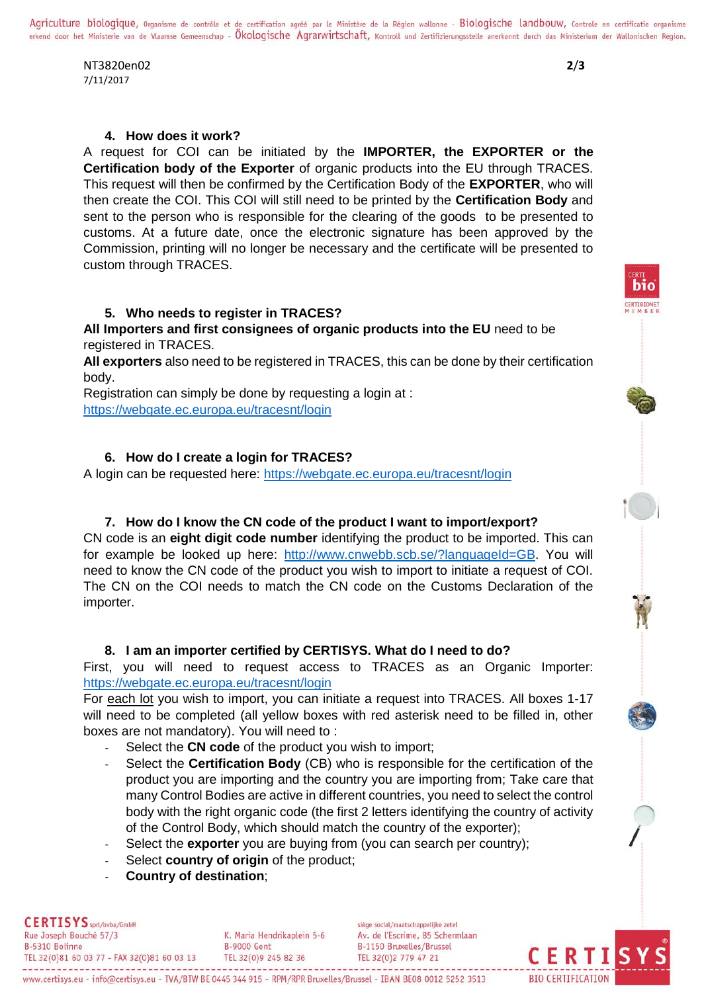Agriculture biologique, Organisme de contrôle et de certification agréé par le Ministère de la Région wallonne - Biologische landbouw, Controle en certificatie organisme erkend door het Ministerie van de Vlaamse Gemeenschap - Okologische Agrarwirtschaft, Kontroll und Zertifizierungsstelle anerkannt durch das Ministerium der Wallonischen Region.

NT3820en02 **2**/**3** 7/11/2017

hin

#### **4. How does it work?**

A request for COI can be initiated by the **IMPORTER, the EXPORTER or the Certification body of the Exporter** of organic products into the EU through TRACES. This request will then be confirmed by the Certification Body of the **EXPORTER**, who will then create the COI. This COI will still need to be printed by the **Certification Body** and sent to the person who is responsible for the clearing of the goods to be presented to customs. At a future date, once the electronic signature has been approved by the Commission, printing will no longer be necessary and the certificate will be presented to custom through TRACES.

#### **5. Who needs to register in TRACES?**

**All Importers and first consignees of organic products into the EU** need to be registered in TRACES.

**All exporters** also need to be registered in TRACES, this can be done by their certification body.

Registration can simply be done by requesting a login at : <https://webgate.ec.europa.eu/tracesnt/login>

#### **6. How do I create a login for TRACES?**

A login can be requested here:<https://webgate.ec.europa.eu/tracesnt/login>

#### **7. How do I know the CN code of the product I want to import/export?**

CN code is an **eight digit code number** identifying the product to be imported. This can for example be looked up here: [http://www.cnwebb.scb.se/?languageId=GB.](http://www.cnwebb.scb.se/?languageId=GB) You will need to know the CN code of the product you wish to import to initiate a request of COI. The CN on the COI needs to match the CN code on the Customs Declaration of the importer.

## **8. I am an importer certified by CERTISYS. What do I need to do?**

First, you will need to request access to TRACES as an Organic Importer: <https://webgate.ec.europa.eu/tracesnt/login>

For each lot you wish to import, you can initiate a request into TRACES. All boxes 1-17 will need to be completed (all yellow boxes with red asterisk need to be filled in, other boxes are not mandatory). You will need to :

- Select the **CN code** of the product you wish to import;
- Select the **Certification Body** (CB) who is responsible for the certification of the product you are importing and the country you are importing from; Take care that many Control Bodies are active in different countries, you need to select the control body with the right organic code (the first 2 letters identifying the country of activity of the Control Body, which should match the country of the exporter);
- Select the **exporter** you are buying from (you can search per country);
- Select **country of origin** of the product;
- **Country of destination**;

**CERTISYS** sprt/bvba/GmbH Rue Joseph Bouché 57/3 K. Maria Hendrikaplein 5-6 B-5310 Bolinne **B-9000 Gent** TEL 32(0)81 60 03 77 - FAX 32(0)81 60 03 13 TEL 32(0)9 245 82 36

siège social/maatschappelijke zetel Av. de l'Escrime, 85 Schermlaan B-1150 Bruxelles/Brussel TEL 32(0)2 779 47 21

CERTI

**BIO CERTIFICATION**